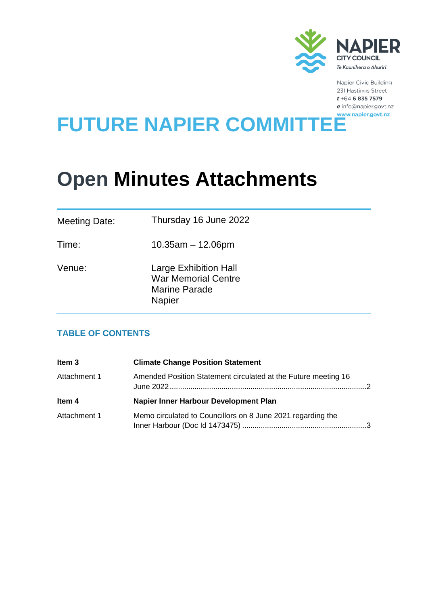

Napier Civic Building 231 Hastings Street  $t + 64$  6 835 7579  $e$  info@napier.govt.nz

# FUTURE NAPIER COMMITTEE

## **Open Minutes Attachments**

| Meeting Date: | Thursday 16 June 2022                                                                               |
|---------------|-----------------------------------------------------------------------------------------------------|
| Time:         | $10.35$ am $-12.06$ pm                                                                              |
| Venue:        | <b>Large Exhibition Hall</b><br><b>War Memorial Centre</b><br><b>Marine Parade</b><br><b>Napier</b> |

## **TABLE OF CONTENTS**

| Item <sub>3</sub> | <b>Climate Change Position Statement</b>                       |  |
|-------------------|----------------------------------------------------------------|--|
| Attachment 1      | Amended Position Statement circulated at the Future meeting 16 |  |
| Item 4            | Napier Inner Harbour Development Plan                          |  |
| Attachment 1      | Memo circulated to Councillors on 8 June 2021 regarding the    |  |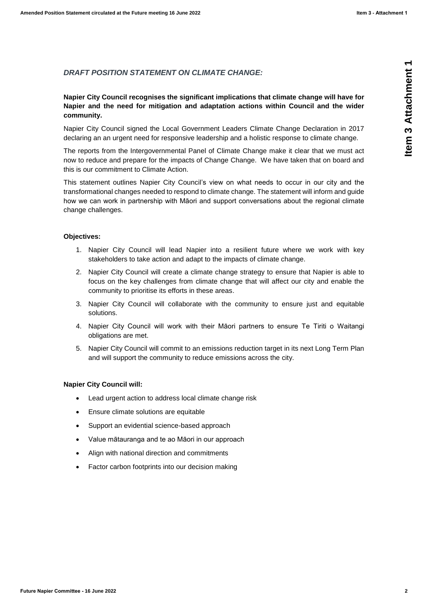### *DRAFT POSITION STATEMENT ON CLIMATE CHANGE:*

#### **Napier City Council recognises the significant implications that climate change will have for Napier and the need for mitigation and adaptation actions within Council and the wider community.**

Napier City Council signed the Local Government Leaders Climate Change Declaration in 2017 declaring an an urgent need for responsive leadership and a holistic response to climate change.

The reports from the Intergovernmental Panel of Climate Change make it clear that we must act now to reduce and prepare for the impacts of Change Change. We have taken that on board and this is our commitment to Climate Action.

<span id="page-1-0"></span>**EXAPT POSITION STATEMENT ON CLIMATE CHANGE:**<br> **Nepier Coy Commit recognizes the significant ministerions that dimensions that the properties and the wider<br>
Nepier Comp committee significant ministerion to the state of the** This statement outlines Napier City Council's view on what needs to occur in our city and the transformational changes needed to respond to climate change. The statement will inform and guide how we can work in partnership with Māori and support conversations about the regional climate change challenges.

#### **Objectives:**

- 1. Napier City Council will lead Napier into a resilient future where we work with key stakeholders to take action and adapt to the impacts of climate change.
- 2. Napier City Council will create a climate change strategy to ensure that Napier is able to focus on the key challenges from climate change that will affect our city and enable the community to prioritise its efforts in these areas.
- 3. Napier City Council will collaborate with the community to ensure just and equitable solutions.
- 4. Napier City Council will work with their Māori partners to ensure Te Tiriti o Waitangi obligations are met.
- 5. Napier City Council will commit to an emissions reduction target in its next Long Term Plan and will support the community to reduce emissions across the city.

#### **Napier City Council will:**

- Lead urgent action to address local climate change risk
- Ensure climate solutions are equitable
- Support an evidential science-based approach
- Value mātauranga and te ao Māori in our approach
- Align with national direction and commitments
- Factor carbon footprints into our decision making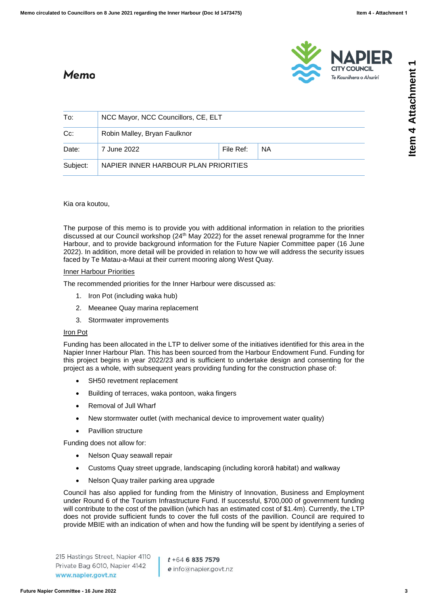**CITY COUNCIL** 

Te Kaunihera o Ahuriri



## <span id="page-2-0"></span>Memo

| To:      | NCC Mayor, NCC Councillors, CE, ELT  |           |           |  |  |
|----------|--------------------------------------|-----------|-----------|--|--|
| $Cc$ :   | Robin Malley, Bryan Faulknor         |           |           |  |  |
| Date:    | 7 June 2022                          | File Ref: | <b>NA</b> |  |  |
| Subject: | NAPIER INNER HARBOUR PLAN PRIORITIES |           |           |  |  |

Kia ora koutou,

The purpose of this memo is to provide you with additional information in relation to the priorities discussed at our Council workshop (24th May 2022) for the asset renewal programme for the Inner Harbour, and to provide background information for the Future Napier Committee paper (16 June 2022). In addition, more detail will be provided in relation to how we will address the security issues faced by Te Matau-a-Maui at their current mooring along West Quay.

#### Inner Harbour Priorities

The recommended priorities for the Inner Harbour were discussed as:

- 1. Iron Pot (including waka hub)
- 2. Meeanee Quay marina replacement
- 3. Stormwater improvements

#### Iron Pot

Funding has been allocated in the LTP to deliver some of the initiatives identified for this area in the Napier Inner Harbour Plan. This has been sourced from the Harbour Endowment Fund. Funding for this project begins in year 2022/23 and is sufficient to undertake design and consenting for the project as a whole, with subsequent years providing funding for the construction phase of:

- SH50 revetment replacement
- Building of terraces, waka pontoon, waka fingers
- Removal of Jull Wharf
- New stormwater outlet (with mechanical device to improvement water quality)
- Pavillion structure

Funding does not allow for:

- Nelson Quay seawall repair
- Customs Quay street upgrade, landscaping (including kororā habitat) and walkway
- Nelson Quay trailer parking area upgrade

Council has also applied for funding from the Ministry of Innovation, Business and Employment under Round 6 of the Tourism Infrastructure Fund. If successful, \$700,000 of government funding will contribute to the cost of the pavillion (which has an estimated cost of \$1.4m). Currently, the LTP does not provide sufficient funds to cover the full costs of the pavillion. Council are required to provide MBIE with an indication of when and how the funding will be spent by identifying a series of

215 Hastings Street, Napier 4110 Private Bag 6010, Napier 4142 www.napier.govt.nz

 $t + 6468357579$ e info@napier.govt.nz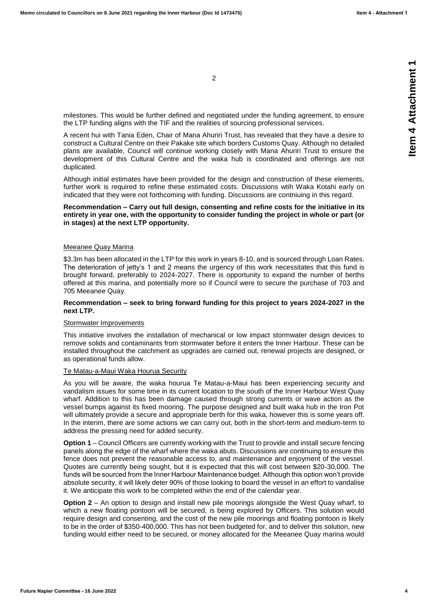2

milestones. This would be further defined and negotiated under the funding agreement, to ensure the LTP funding aligns with the TIF and the realities of sourcing professional services.

A recent hui with Tania Eden, Chair of Mana Ahuriri Trust, has revealed that they have a desire to construct a Cultural Centre on their Pakake site which borders Customs Quay. Although no detailed plans are available, Council will continue working closely with Mana Ahuriri Trust to ensure the development of this Cultural Centre and the waka hub is coordinated and offerings are not duplicated.

Although initial estimates have been provided for the design and construction of these elements, further work is required to refine these estimated costs. Discussions wtih Waka Kotahi early on indicated that they were not forthcoming with funding. Discussions are contniuing in this regard.

#### **Recommendation – Carry out full design, consenting and refine costs for the initiative in its entirety in year one, with the opportunity to consider funding the project in whole or part (or in stages) at the next LTP opportunity.**

#### Meeanee Quay Marina

\$3.3m has been allocated in the LTP for this work in years 8-10, and is sourced through Loan Rates. The deterioration of jetty's 1 and 2 means the urgency of this work necessitates that this fund is brought forward, preferably to 2024-2027. There is opportunity to expand the number of berths offered at this marina, and potentially more so if Council were to secure the purchase of 703 and 705 Meeanee Quay.

#### **Recommendation – seek to bring forward funding for this project to years 2024-2027 in the next LTP.**

#### Stormwater Improvements

This initiative involves the installation of mechanical or low impact stormwater design devices to remove solids and contaminants from stormwater before it enters the Inner Harbour. These can be installed throughout the catchment as upgrades are carried out, renewal projects are designed, or as operational funds allow.

#### Te Matau-a-Maui Waka Hourua Security

As you will be aware, the waka hourua Te Matau-a-Maui has been experiencing security and vandalism issues for some time in its current location to the south of the Inner Harbour West Quay wharf. Addition to this has been damage caused through strong currents or wave action as the vessel bumps against its fixed mooring. The purpose designed and built waka hub in the Iron Pot will ultimately provide a secure and appropriate berth for this waka, however this is some years off. In the interim, there are some actions we can carry out, both in the short-term and medium-term to address the pressing need for added security.

**Option 1** – Council Officers are currently working with the Trust to provide and install secure fencing panels along the edge of the wharf where the waka abuts. Discussions are continuing to ensure this fence does not prevent the reasonable access to, and maintenance and enjoyment of the vessel. Quotes are currently being sought, but it is expected that this will cost between \$20-30,000. The funds will be sourced from the Inner Harbour Maintenance budget. Although this option won't provide absolute security, it will likely deter 90% of those looking to board the vessel in an effort to vandalise it. We anticipate this work to be completed within the end of the calendar year.

**Option 2** – An option to design and install new pile moorings alongside the West Quay wharf, to which a new floating pontoon will be secured, is being explored by Officers. This solution would require design and consenting, and the cost of the new pile moorings and floating pontoon is likely to be in the order of \$350-400,000. This has not been budgeted for, and to deliver this solution, new funding would either need to be secured, or money allocated for the Meeanee Quay marina would